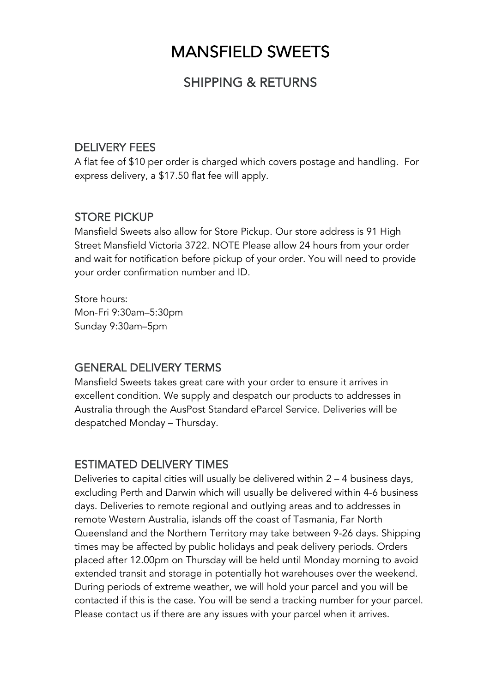# MANSFIELD SWEETS

## SHIPPING & RETURNS

#### DELIVERY FEES

A flat fee of \$10 per order is charged which covers postage and handling. For express delivery, a \$17.50 flat fee will apply.

#### STORE PICKUP

Mansfield Sweets also allow for Store Pickup. Our store address is 91 High Street Mansfield Victoria 3722. NOTE Please allow 24 hours from your order and wait for notification before pickup of your order. You will need to provide your order confirmation number and ID.

Store hours: Mon-Fri 9:30am–5:30pm Sunday 9:30am–5pm

### GENERAL DELIVERY TERMS

Mansfield Sweets takes great care with your order to ensure it arrives in excellent condition. We supply and despatch our products to addresses in Australia through the AusPost Standard eParcel Service. Deliveries will be despatched Monday – Thursday.

#### ESTIMATED DELIVERY TIMES

Deliveries to capital cities will usually be delivered within 2 – 4 business days, excluding Perth and Darwin which will usually be delivered within 4-6 business days. Deliveries to remote regional and outlying areas and to addresses in remote Western Australia, islands off the coast of Tasmania, Far North Queensland and the Northern Territory may take between 9-26 days. Shipping times may be affected by public holidays and peak delivery periods. Orders placed after 12.00pm on Thursday will be held until Monday morning to avoid extended transit and storage in potentially hot warehouses over the weekend. During periods of extreme weather, we will hold your parcel and you will be contacted if this is the case. You will be send a tracking number for your parcel. Please contact us if there are any issues with your parcel when it arrives.